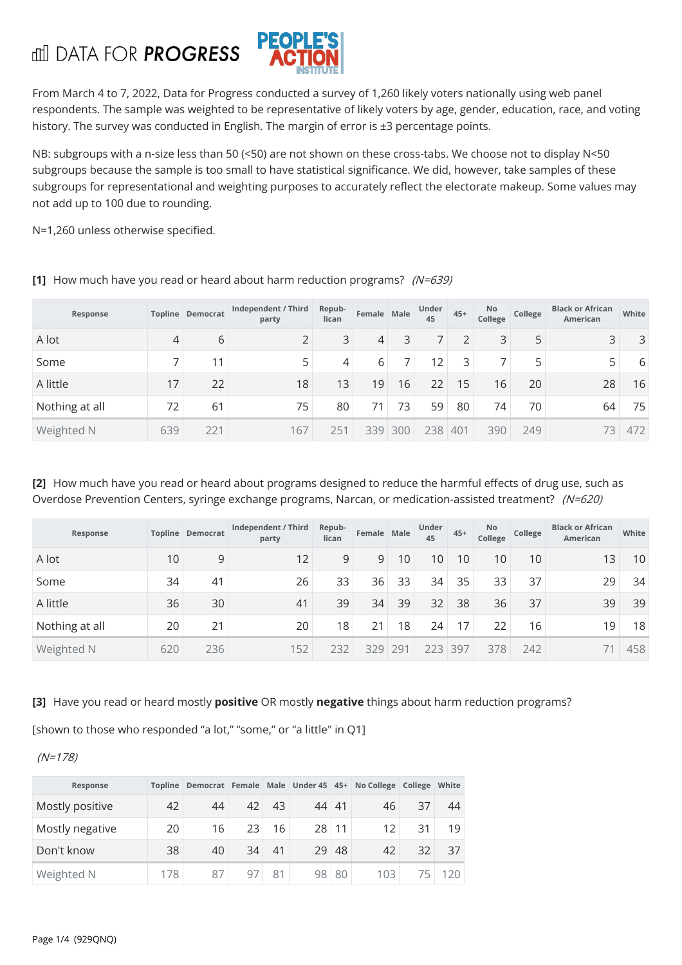**III DATA FOR PROGRESS** 



From March 4 to 7, 2022, Data for Progress conducted a survey of 1,260 likely voters nationally using web panel respondents. The sample was weighted to be representative of likely voters by age, gender, education, race, and voting history. The survey was conducted in English. The margin of error is ±3 percentage points.

NB: subgroups with a n-size less than 50 (<50) are not shown on these cross-tabs. We choose not to display N<50 subgroups because the sample is too small to have statistical significance. We did, however, take samples of these subgroups for representational and weighting purposes to accurately reflect the electorate makeup. Some values may not add up to 100 due to rounding.

N=1,260 unless otherwise specified.

| Response       |     | <b>Topline Democrat</b> | Independent / Third<br>party | Repub-<br>lican | Female Male |        | <b>Under</b><br>45 | $45+$ | <b>No</b><br>College | College | <b>Black or African</b><br>American | White |
|----------------|-----|-------------------------|------------------------------|-----------------|-------------|--------|--------------------|-------|----------------------|---------|-------------------------------------|-------|
| A lot          | 4   | 6                       | 2                            | 3               | 4           | 3      |                    | 2     | 3                    | 5       | 3                                   | 3     |
| Some           |     | 11                      | 5                            | 4               | 6           |        | 12                 | 3     | ⇁                    | 5       |                                     | 6     |
| A little       | 17  | 22                      | 18                           | 13              | 19          | 16     | 22                 | 15    | 16                   | 20      | 28                                  | 16    |
| Nothing at all | 72  | 61                      | 75                           | 80              | 71          | 73     | 59                 | 80    | 74                   | 70      | 64                                  | 75    |
| Weighted N     | 639 | 221                     | 167                          | 251             | 339         | $ 300$ | 238                | 401   | 390                  | 249     | 73                                  | 472   |

**[1]** How much have you read or heard about harm reduction programs? (N=639)

**[2]** How much have you read or heard about programs designed to reduce the harmful effects of drug use, such as Overdose Prevention Centers, syringe exchange programs, Narcan, or medication-assisted treatment? (N=620)

| Response       |     | Topline Democrat | Independent / Third<br>party | Repub-<br>lican | Female Male |                 | <b>Under</b><br>45 | $45+$           | No.<br>College | College | <b>Black or African</b><br><b>American</b> | White |
|----------------|-----|------------------|------------------------------|-----------------|-------------|-----------------|--------------------|-----------------|----------------|---------|--------------------------------------------|-------|
| A lot          | 10  | 9                | 12                           | 9               | 9           | 10              | 10 <sup>°</sup>    | 10              | 10             | 10      | 13                                         | 10    |
| Some           | 34  | 41               | 26                           | 33              | 36          | 33              | 34                 | 35              | 33             | 37      | 29                                         | 34    |
| A little       | 36  | 30               | 41                           | 39              | 34          | 39              | 32                 | 38              | 36             | 37      | 39                                         | 39    |
| Nothing at all | 20  | 21               | 20                           | 18              | 21          | 18 <sup>1</sup> | 24                 | 17 <sub>1</sub> | 22             | 16      | 19                                         | 18    |
| Weighted N     | 620 | 236              | 152                          | 232             | 329         | 291             | 223 397            |                 | 378            | 242     |                                            | 458   |

**[3]** Have you read or heard mostly **positive** OR mostly **negative** things about harm reduction programs?

[shown to those who responded "a lot," "some," or "a little" in Q1]

(N=178)

| Response        |     |    |    |    |       |                 | Topline Democrat Female Male Under 45 45+ No College College White |     |               |
|-----------------|-----|----|----|----|-------|-----------------|--------------------------------------------------------------------|-----|---------------|
| Mostly positive | 42  | 44 | 42 | 43 | 44 41 |                 | 46                                                                 | 37  | 44            |
| Mostly negative | 20  | 16 | 23 | 16 | 28    | 11 <sup>1</sup> | 12                                                                 | 31  | 19            |
| Don't know      | 38  | 40 | 34 | 41 | 29    | 48              | 42                                                                 | 32  | 37            |
| Weighted N      | 178 | 87 | 97 | 81 | 98    | 80              | 103                                                                | 75. | $120^{\circ}$ |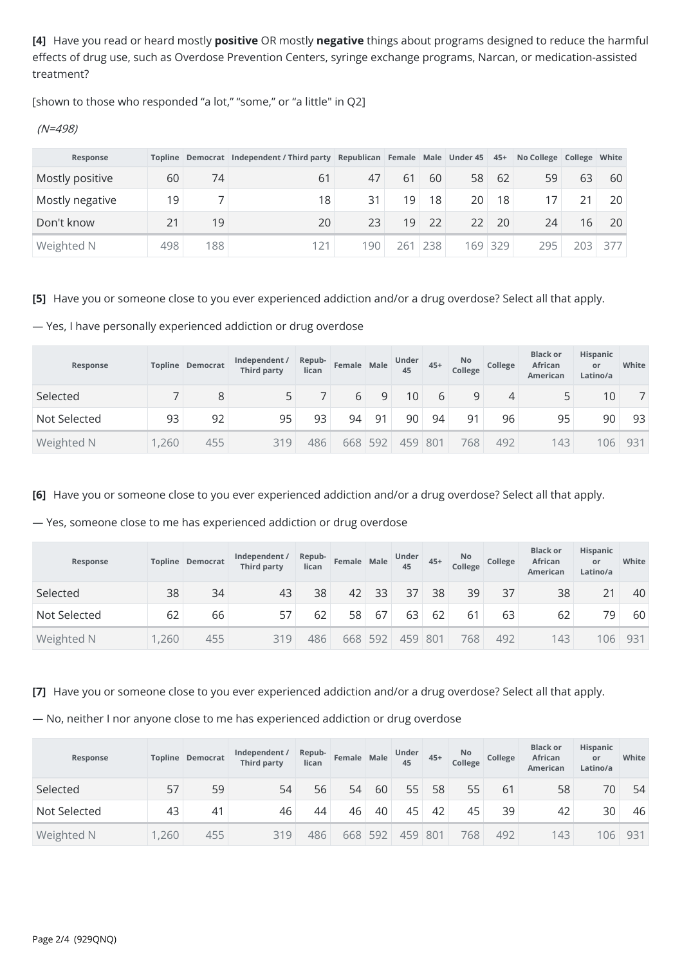**[4]** Have you read or heard mostly **positive** OR mostly **negative** things about programs designed to reduce the harmful effects of drug use, such as Overdose Prevention Centers, syringe exchange programs, Narcan, or medication-assisted treatment?

[shown to those who responded "a lot," "some," or "a little" in Q2]

(N=498)

| Response        |     |     | Topline Democrat Independent / Third party Republican Female Male Under 45 45+ |         |                 |                 |    |         | No College College White |      |     |
|-----------------|-----|-----|--------------------------------------------------------------------------------|---------|-----------------|-----------------|----|---------|--------------------------|------|-----|
| Mostly positive | 60  | 74  | 61                                                                             | 47      | 61              | 60              | 58 | 62      | 59                       | 63   | 60  |
| Mostly negative | 19  |     | 18                                                                             | 31      | 19 <sub>1</sub> | 18 <sup>1</sup> | 20 | 18      |                          |      | 20  |
| Don't know      | 21  | 19  | 20                                                                             | 23      | 19              | 22              | 22 | 20      | 24                       | 16   | 20  |
| Weighted N      | 498 | 188 | 121                                                                            | $190 +$ | 261             | 238             |    | 169 329 | 295                      | 203. | 377 |

**[5]** Have you or someone close to you ever experienced addiction and/or a drug overdose? Select all that apply.

— Yes, I have personally experienced addiction or drug overdose

| Response     |      | <b>Topline Democrat</b> | Independent /<br><b>Third party</b> | Repub-<br>lican | Female Male |                | Under<br>45 | $45+$ | No<br>College | College  | <b>Black or</b><br>African<br>American | <b>Hispanic</b><br>or<br>Latino/a | White |
|--------------|------|-------------------------|-------------------------------------|-----------------|-------------|----------------|-------------|-------|---------------|----------|----------------------------------------|-----------------------------------|-------|
| Selected     |      | 8                       |                                     |                 | 6           | q              | 10          | 6     | 9             | $\Delta$ |                                        | 10 <sup>°</sup>                   |       |
| Not Selected | 93   | 92                      | 95                                  | 93              | 94          | Q <sub>1</sub> | 90          | 94    | 91            | 96       | 95                                     | 90                                | 93    |
| Weighted N   | ,260 | 455                     | 319                                 | 486             |             | 668 592        | 459 801     |       | 768           | 492      | 143                                    | 106                               | 931   |

**[6]** Have you or someone close to you ever experienced addiction and/or a drug overdose? Select all that apply.

— Yes, someone close to me has experienced addiction or drug overdose

| Response     |      | <b>Topline Democrat</b> | Independent /<br><b>Third party</b> | Repub-<br>lican | Female Male |         | <b>Under</b><br>45 | $45+$ | <b>No</b><br>College | College | <b>Black or</b><br>African<br><b>American</b> | <b>Hispanic</b><br>or<br>Latino/a | White |
|--------------|------|-------------------------|-------------------------------------|-----------------|-------------|---------|--------------------|-------|----------------------|---------|-----------------------------------------------|-----------------------------------|-------|
| Selected     | 38   | 34                      | 43                                  | 38              | 42          | 33      | 37                 | 38    | 39                   | 37      | 38                                            | 21                                | 40    |
| Not Selected | 62   | 66                      | 57                                  | 62              | 58          | 67      | 63                 | 62    | 61                   | 63      | 62                                            | 79                                | 60    |
| Weighted N   | ,260 | 455                     | 319                                 | 486             |             | 668 592 | 459                | 801   | 768                  | 492     | 143                                           | 106                               | 931   |

**[7]** Have you or someone close to you ever experienced addiction and/or a drug overdose? Select all that apply.

— No, neither I nor anyone close to me has experienced addiction or drug overdose

| Response     | <b>Topline</b> | Democrat | Independent /<br>Third party | Repub-<br>lican | Female Male |         | <b>Under</b><br>45 | $45+$ | <b>No</b><br>College | College | <b>Black or</b><br>African<br><b>American</b> | <b>Hispanic</b><br>or<br>Latino/a | White |
|--------------|----------------|----------|------------------------------|-----------------|-------------|---------|--------------------|-------|----------------------|---------|-----------------------------------------------|-----------------------------------|-------|
| Selected     | 57             | 59       | 54                           | 56              | 54          | 60      | 55                 | 58    | 55                   | 61      | 58                                            | 70                                | 54    |
| Not Selected | 43             | 41       | 46                           | 44              | 46          | 40      | 45                 | 42    | 45                   | 39      | 42                                            | 30                                | 46    |
| Weighted N   | ,260           | 455      | 319                          | 486             |             | 668 592 | 459                | 801   | 768                  | 492     | 143                                           | 106                               | 931   |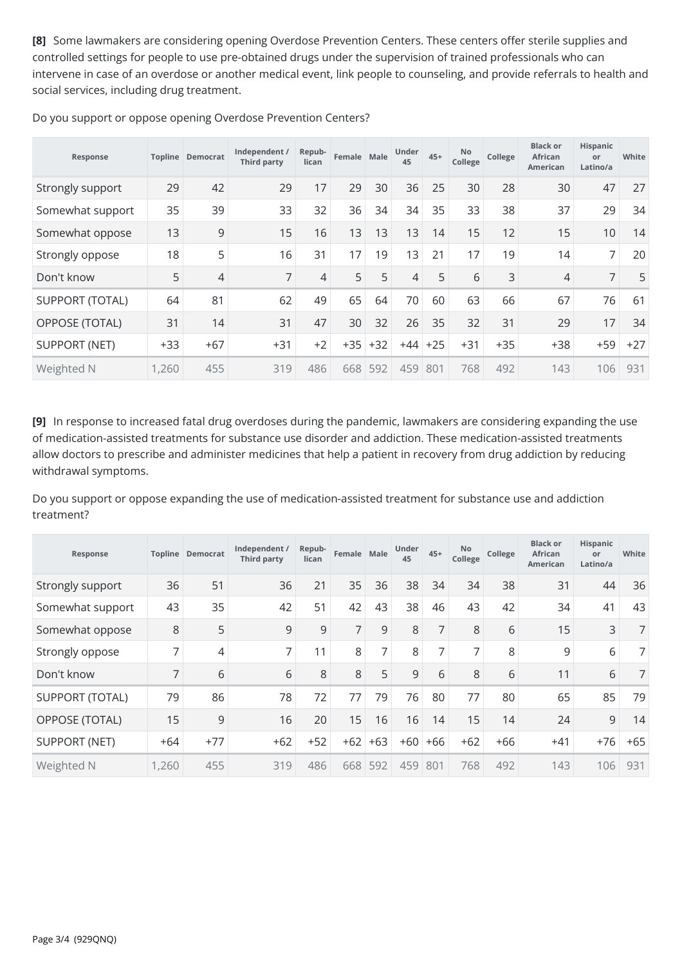**[8]** Some lawmakers are considering opening Overdose Prevention Centers. These centers offer sterile supplies and controlled settings for people to use pre-obtained drugs under the supervision of trained professionals who can intervene in case of an overdose or another medical event, link people to counseling, and provide referrals to health and social services, including drug treatment.

| Response               |       | <b>Topline Democrat</b> | Independent /<br><b>Third party</b> | Repub-<br>lican | Female Male |       | Under<br>45 | $45+$ | No<br>College | College | <b>Black or</b><br>African<br>American | Hispanic<br>or<br>Latino/a | White |
|------------------------|-------|-------------------------|-------------------------------------|-----------------|-------------|-------|-------------|-------|---------------|---------|----------------------------------------|----------------------------|-------|
| Strongly support       | 29    | 42                      | 29                                  | 17              | 29          | 30    | 36          | 25    | 30            | 28      | 30                                     | 47                         | 27    |
| Somewhat support       | 35    | 39                      | 33                                  | 32              | 36          | 34    | 34          | 35    | 33            | 38      | 37                                     | 29                         | 34    |
| Somewhat oppose        | 13    | 9                       | 15                                  | 16              | 13          | 13    | 13          | 14    | 15            | 12      | 15                                     | 10                         | 14    |
| Strongly oppose        | 18    | 5                       | 16                                  | 31              | 17          | 19    | 13          | 21    | 17            | 19      | 14                                     | 7                          | 20    |
| Don't know             | 5     | 4                       | 7                                   | 4               | 5           | 5     | 4           | 5     | 6             | 3       | $\overline{4}$                         | 7                          | 5     |
| <b>SUPPORT (TOTAL)</b> | 64    | 81                      | 62                                  | 49              | 65          | 64    | 70          | 60    | 63            | 66      | 67                                     | 76                         | 61    |
| <b>OPPOSE (TOTAL)</b>  | 31    | 14                      | 31                                  | 47              | 30          | 32    | 26          | 35    | 32            | 31      | 29                                     | 17                         | 34    |
| <b>SUPPORT (NET)</b>   | $+33$ | $+67$                   | $+31$                               | $+2$            | $+35$       | $+32$ | $+44$       | $+25$ | $+31$         | $+35$   | $+38$                                  | $+59$                      | $+27$ |
| Weighted N             | 1,260 | 455                     | 319                                 | 486             | 668         | 592   | 459         | 801   | 768           | 492     | 143                                    | 106                        | 931   |

Do you support or oppose opening Overdose Prevention Centers?

**[9]** In response to increased fatal drug overdoses during the pandemic, lawmakers are considering expanding the use of medication-assisted treatments for substance use disorder and addiction. These medication-assisted treatments allow doctors to prescribe and administer medicines that help a patient in recovery from drug addiction by reducing withdrawal symptoms.

Do you support or oppose expanding the use of medication-assisted treatment for substance use and addiction treatment?

| Response               |                | <b>Topline Democrat</b> | Independent /<br>Third party | Repub-<br>lican | Female Male |       | Under<br>45 | $45+$          | No<br>College  | College | <b>Black or</b><br>African<br><b>American</b> | Hispanic<br>or<br>Latino/a | White |
|------------------------|----------------|-------------------------|------------------------------|-----------------|-------------|-------|-------------|----------------|----------------|---------|-----------------------------------------------|----------------------------|-------|
| Strongly support       | 36             | 51                      | 36                           | 21              | 35          | 36    | 38          | 34             | 34             | 38      | 31                                            | 44                         | 36    |
| Somewhat support       | 43             | 35                      | 42                           | 51              | 42          | 43    | 38          | 46             | 43             | 42      | 34                                            | 41                         | 43    |
| Somewhat oppose        | 8              | 5                       | 9                            | 9               | 7           | 9     | 8           | $\overline{7}$ | 8              | 6       | 15                                            | 3                          | 7     |
| Strongly oppose        | 7              | 4                       | 7                            | 11              | 8           | 7     | 8           | $\overline{7}$ | $\overline{7}$ | 8       | 9                                             | 6                          | 7     |
| Don't know             | $\overline{7}$ | 6                       | 6                            | 8               | 8           | 5     | 9           | 6              | 8              | 6       | 11                                            | 6                          | 7     |
| <b>SUPPORT (TOTAL)</b> | 79             | 86                      | 78                           | 72              | 77          | 79    | 76          | 80             | 77             | 80      | 65                                            | 85                         | 79    |
| OPPOSE (TOTAL)         | 15             | 9                       | 16                           | 20              | 15          | 16    | 16          | 14             | 15             | 14      | 24                                            | $\mathsf 9$                | 14    |
| <b>SUPPORT (NET)</b>   | $+64$          | $+77$                   | $+62$                        | $+52$           | $+62$       | $+63$ | $+60$       | $+66$          | $+62$          | $+66$   | $+41$                                         | $+76$                      | $+65$ |
| Weighted N             | 1,260          | 455                     | 319                          | 486             | 668         | 592   | 459         | 801            | 768            | 492     | 143                                           | 106                        | 931   |